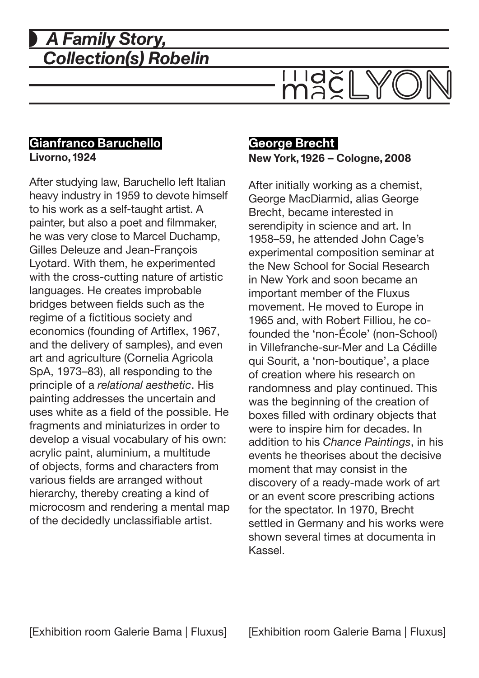# *A Family Story, Collection(s) Robelin*



### **Gianfranco Baruchello Livorno, 1924**

After studying law, Baruchello left Italian heavy industry in 1959 to devote himself to his work as a self-taught artist. A painter, but also a poet and filmmaker, he was very close to Marcel Duchamp, Gilles Deleuze and Jean-François Lyotard. With them, he experimented with the cross-cutting nature of artistic languages. He creates improbable bridges between fields such as the regime of a fictitious society and economics (founding of Artiflex, 1967, and the delivery of samples), and even art and agriculture (Cornelia Agricola SpA, 1973–83), all responding to the principle of a *relational aesthetic*. His painting addresses the uncertain and uses white as a field of the possible. He fragments and miniaturizes in order to develop a visual vocabulary of his own: acrylic paint, aluminium, a multitude of objects, forms and characters from various fields are arranged without hierarchy, thereby creating a kind of microcosm and rendering a mental map of the decidedly unclassifiable artist.

# **George Brecht New York, 1926 – Cologne, 2008**

After initially working as a chemist, George MacDiarmid, alias George Brecht, became interested in serendipity in science and art. In 1958–59, he attended John Cage's experimental composition seminar at the New School for Social Research in New York and soon became an important member of the Fluxus movement. He moved to Europe in 1965 and, with Robert Filliou, he cofounded the 'non-École' (non-School) in Villefranche-sur-Mer and La Cédille qui Sourit, a 'non-boutique', a place of creation where his research on randomness and play continued. This was the beginning of the creation of boxes filled with ordinary objects that were to inspire him for decades. In addition to his *Chance Paintings*, in his events he theorises about the decisive moment that may consist in the discovery of a ready-made work of art or an event score prescribing actions for the spectator. In 1970, Brecht settled in Germany and his works were shown several times at documenta in Kassel.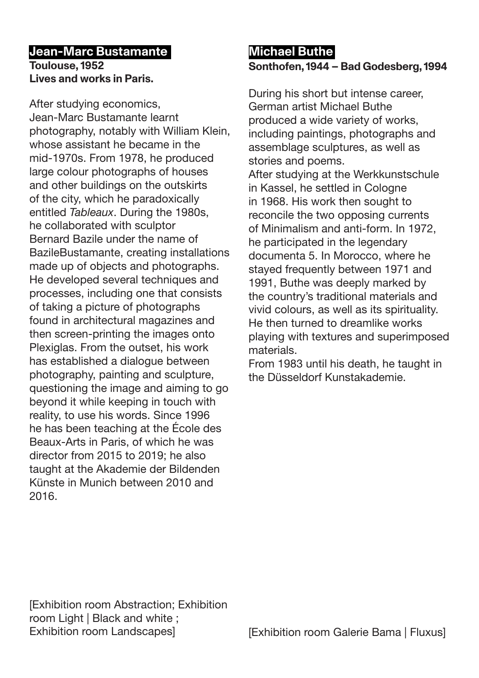# **Jean-Marc Bustamante Toulouse, 1952 Lives and works in Paris.**

After studying economics, Jean-Marc Bustamante learnt photography, notably with William Klein, whose assistant he became in the mid-1970s. From 1978, he produced large colour photographs of houses and other buildings on the outskirts of the city, which he paradoxically entitled *Tableaux*. During the 1980s, he collaborated with sculptor Bernard Bazile under the name of BazileBustamante, creating installations made up of objects and photographs. He developed several techniques and processes, including one that consists of taking a picture of photographs found in architectural magazines and then screen-printing the images onto Plexiglas. From the outset, his work has established a dialogue between photography, painting and sculpture, questioning the image and aiming to go beyond it while keeping in touch with reality, to use his words. Since 1996 he has been teaching at the École des Beaux-Arts in Paris, of which he was director from 2015 to 2019; he also taught at the Akademie der Bildenden Künste in Munich between 2010 and 2016.

# **Michael Buthe Sonthofen, 1944 – Bad Godesberg, 1994**

During his short but intense career, German artist Michael Buthe produced a wide variety of works, including paintings, photographs and assemblage sculptures, as well as stories and poems. After studying at the Werkkunstschule in Kassel, he settled in Cologne in 1968. His work then sought to reconcile the two opposing currents of Minimalism and anti-form. In 1972, he participated in the legendary documenta 5. In Morocco, where he stayed frequently between 1971 and 1991, Buthe was deeply marked by the country's traditional materials and vivid colours, as well as its spirituality. He then turned to dreamlike works playing with textures and superimposed materials.

From 1983 until his death, he taught in the Düsseldorf Kunstakademie.

[Exhibition room Abstraction; Exhibition room Light | Black and white ; Exhibition room Landscapes]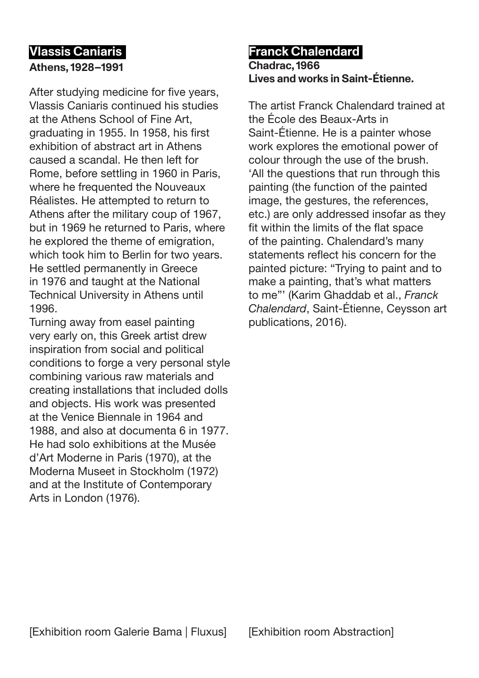# **Vlassis Caniaris Athens, 1928–1991**

After studying medicine for five years, Vlassis Caniaris continued his studies at the Athens School of Fine Art, graduating in 1955. In 1958, his first exhibition of abstract art in Athens caused a scandal. He then left for Rome, before settling in 1960 in Paris, where he frequented the Nouveaux Réalistes. He attempted to return to Athens after the military coup of 1967, but in 1969 he returned to Paris, where he explored the theme of emigration, which took him to Berlin for two years. He settled permanently in Greece in 1976 and taught at the National Technical University in Athens until 1996.

Turning away from easel painting very early on, this Greek artist drew inspiration from social and political conditions to forge a very personal style combining various raw materials and creating installations that included dolls and objects. His work was presented at the Venice Biennale in 1964 and 1988, and also at documenta 6 in 1977. He had solo exhibitions at the Musée d'Art Moderne in Paris (1970), at the Moderna Museet in Stockholm (1972) and at the Institute of Contemporary Arts in London (1976).

### **Franck Chalendard Chadrac, 1966 Lives and works in Saint-Étienne.**

The artist Franck Chalendard trained at the École des Beaux-Arts in Saint-Étienne. He is a painter whose work explores the emotional power of colour through the use of the brush. 'All the questions that run through this painting (the function of the painted image, the gestures, the references, etc.) are only addressed insofar as they fit within the limits of the flat space of the painting. Chalendard's many statements reflect his concern for the painted picture: "Trying to paint and to make a painting, that's what matters to me"' (Karim Ghaddab et al., *Franck Chalendard*, Saint-Étienne, Ceysson art publications, 2016).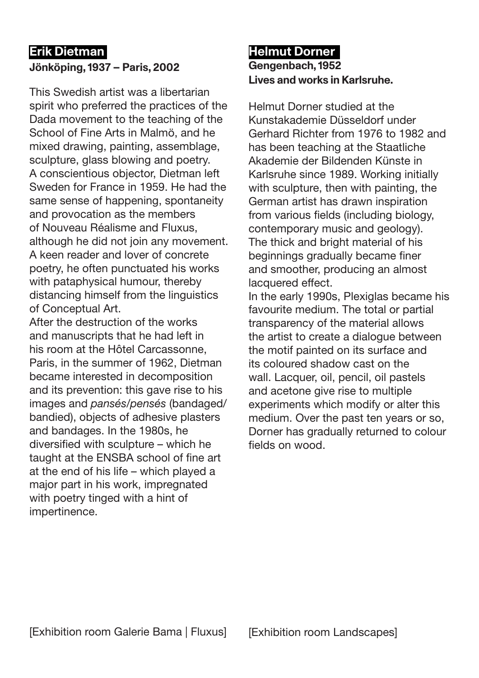# **Erik Dietman**

### **Jönköping, 1937 – Paris, 2002**

This Swedish artist was a libertarian spirit who preferred the practices of the Dada movement to the teaching of the School of Fine Arts in Malmö, and he mixed drawing, painting, assemblage, sculpture, glass blowing and poetry. A conscientious objector, Dietman left Sweden for France in 1959. He had the same sense of happening, spontaneity and provocation as the members of Nouveau Réalisme and Fluxus, although he did not join any movement. A keen reader and lover of concrete poetry, he often punctuated his works with pataphysical humour, thereby distancing himself from the linguistics of Conceptual Art.

After the destruction of the works and manuscripts that he had left in his room at the Hôtel Carcassonne, Paris, in the summer of 1962, Dietman became interested in decomposition and its prevention: this gave rise to his images and *pansés/pensés* (bandaged/ bandied), objects of adhesive plasters and bandages. In the 1980s, he diversified with sculpture – which he taught at the ENSBA school of fine art at the end of his life – which played a major part in his work, impregnated with poetry tinged with a hint of impertinence.

### **Helmut Dorner Gengenbach, 1952 Lives and works in Karlsruhe.**

Helmut Dorner studied at the Kunstakademie Düsseldorf under Gerhard Richter from 1976 to 1982 and has been teaching at the Staatliche Akademie der Bildenden Künste in Karlsruhe since 1989. Working initially with sculpture, then with painting, the German artist has drawn inspiration from various fields (including biology, contemporary music and geology). The thick and bright material of his beginnings gradually became finer and smoother, producing an almost lacquered effect.

In the early 1990s, Plexiglas became his favourite medium. The total or partial transparency of the material allows the artist to create a dialogue between the motif painted on its surface and its coloured shadow cast on the wall. Lacquer, oil, pencil, oil pastels and acetone give rise to multiple experiments which modify or alter this medium. Over the past ten years or so, Dorner has gradually returned to colour fields on wood.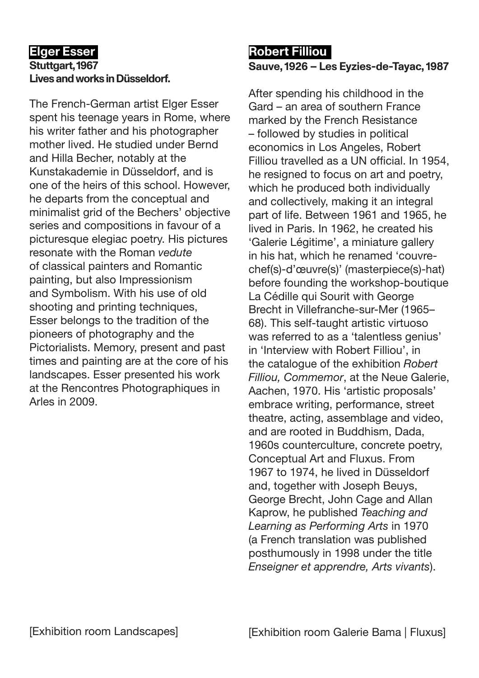# **Elger Esser Stuttgart, 1967 Lives and works in Düsseldorf.**

The French-German artist Elger Esser spent his teenage years in Rome, where his writer father and his photographer mother lived. He studied under Bernd and Hilla Becher, notably at the Kunstakademie in Düsseldorf, and is one of the heirs of this school. However, he departs from the conceptual and minimalist grid of the Bechers' objective series and compositions in favour of a picturesque elegiac poetry. His pictures resonate with the Roman *vedute* of classical painters and Romantic painting, but also Impressionism and Symbolism. With his use of old shooting and printing techniques, Esser belongs to the tradition of the pioneers of photography and the Pictorialists. Memory, present and past times and painting are at the core of his landscapes. Esser presented his work at the Rencontres Photographiques in Arles in 2009.

# **Robert Filliou Sauve, 1926 – Les Eyzies-de-Tayac, 1987**

After spending his childhood in the Gard – an area of southern France marked by the French Resistance – followed by studies in political economics in Los Angeles, Robert Filliou travelled as a UN official. In 1954, he resigned to focus on art and poetry, which he produced both individually and collectively, making it an integral part of life. Between 1961 and 1965, he lived in Paris. In 1962, he created his 'Galerie Légitime', a miniature gallery in his hat, which he renamed 'couvrechef(s)-d'œuvre(s)' (masterpiece(s)-hat) before founding the workshop-boutique La Cédille qui Sourit with George Brecht in Villefranche-sur-Mer (1965– 68). This self-taught artistic virtuoso was referred to as a 'talentless genius' in 'Interview with Robert Filliou', in the catalogue of the exhibition *Robert Filliou, Commemor*, at the Neue Galerie, Aachen, 1970. His 'artistic proposals' embrace writing, performance, street theatre, acting, assemblage and video, and are rooted in Buddhism, Dada, 1960s counterculture, concrete poetry, Conceptual Art and Fluxus. From 1967 to 1974, he lived in Düsseldorf and, together with Joseph Beuys, George Brecht, John Cage and Allan Kaprow, he published *Teaching and Learning as Performing Arts* in 1970 (a French translation was published posthumously in 1998 under the title *Enseigner et apprendre, Arts vivants*).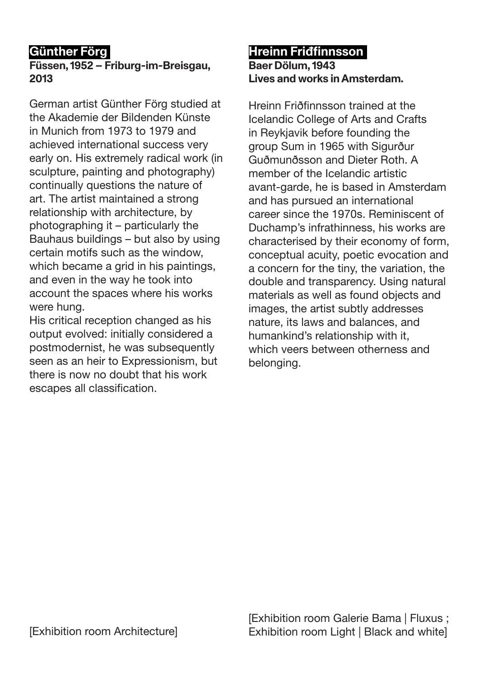# **Günther Förg**

# **Füssen, 1952 – Friburg-im-Breisgau, 2013**

German artist Günther Förg studied at the Akademie der Bildenden Künste in Munich from 1973 to 1979 and achieved international success very early on. His extremely radical work (in sculpture, painting and photography) continually questions the nature of art. The artist maintained a strong relationship with architecture, by photographing it – particularly the Bauhaus buildings – but also by using certain motifs such as the window, which became a grid in his paintings, and even in the way he took into account the spaces where his works were hung.

His critical reception changed as his output evolved: initially considered a postmodernist, he was subsequently seen as an heir to Expressionism, but there is now no doubt that his work escapes all classification.

# **Hreinn Friđfinnsson Baer Dölum, 1943 Lives and works in Amsterdam.**

Hreinn Friðfinnsson trained at the Icelandic College of Arts and Crafts in Reykjavik before founding the group Sum in 1965 with Sigurður Guðmunðsson and Dieter Roth. A member of the Icelandic artistic avant-garde, he is based in Amsterdam and has pursued an international career since the 1970s. Reminiscent of Duchamp's infrathinness, his works are characterised by their economy of form, conceptual acuity, poetic evocation and a concern for the tiny, the variation, the double and transparency. Using natural materials as well as found objects and images, the artist subtly addresses nature, its laws and balances, and humankind's relationship with it, which veers between otherness and belonging.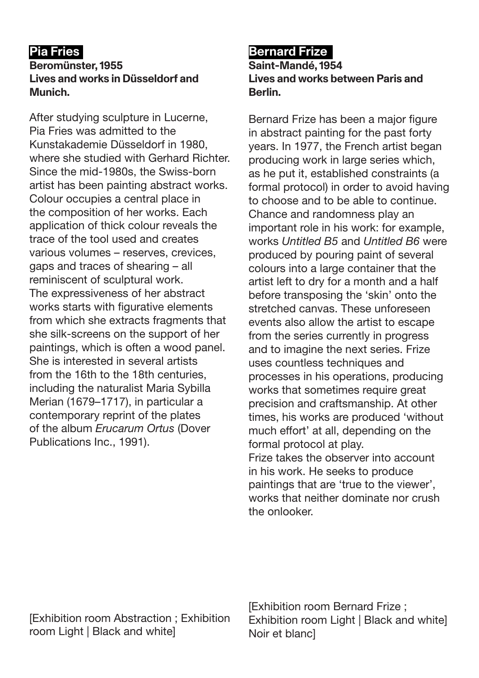# **Pia Fries**

#### **Beromünster, 1955 Lives and works in Düsseldorf and Munich.**

After studying sculpture in Lucerne, Pia Fries was admitted to the Kunstakademie Düsseldorf in 1980, where she studied with Gerhard Richter. Since the mid-1980s, the Swiss-born artist has been painting abstract works. Colour occupies a central place in the composition of her works. Each application of thick colour reveals the trace of the tool used and creates various volumes – reserves, crevices, gaps and traces of shearing – all reminiscent of sculptural work. The expressiveness of her abstract works starts with figurative elements from which she extracts fragments that she silk-screens on the support of her paintings, which is often a wood panel. She is interested in several artists from the 16th to the 18th centuries, including the naturalist Maria Sybilla Merian (1679–1717), in particular a contemporary reprint of the plates of the album *Erucarum Ortus* (Dover Publications Inc., 1991).

# **Bernard Frize**

**Saint-Mandé, 1954 Lives and works between Paris and Berlin.**

Bernard Frize has been a major figure in abstract painting for the past forty years. In 1977, the French artist began producing work in large series which, as he put it, established constraints (a formal protocol) in order to avoid having to choose and to be able to continue. Chance and randomness play an important role in his work: for example, works *Untitled B5* and *Untitled B6* were produced by pouring paint of several colours into a large container that the artist left to dry for a month and a half before transposing the 'skin' onto the stretched canvas. These unforeseen events also allow the artist to escape from the series currently in progress and to imagine the next series. Frize uses countless techniques and processes in his operations, producing works that sometimes require great precision and craftsmanship. At other times, his works are produced 'without much effort' at all, depending on the formal protocol at play. Frize takes the observer into account in his work. He seeks to produce paintings that are 'true to the viewer', works that neither dominate nor crush the onlooker.

[Exhibition room Abstraction ; Exhibition room Light | Black and white]

[Exhibition room Bernard Frize ; Exhibition room Light | Black and white] Noir et blanc]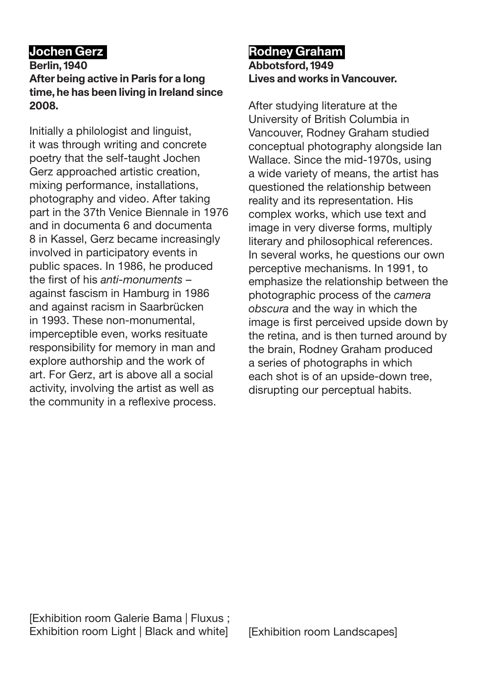# **Jochen Gerz**

#### **Berlin, 1940 After being active in Paris for a long time, he has been living in Ireland since 2008.**

Initially a philologist and linguist, it was through writing and concrete poetry that the self-taught Jochen Gerz approached artistic creation, mixing performance, installations, photography and video. After taking part in the 37th Venice Biennale in 1976 and in documenta 6 and documenta 8 in Kassel, Gerz became increasingly involved in participatory events in public spaces. In 1986, he produced the first of his *anti-monuments* – against fascism in Hamburg in 1986 and against racism in Saarbrücken in 1993. These non-monumental, imperceptible even, works resituate responsibility for memory in man and explore authorship and the work of art. For Gerz, art is above all a social activity, involving the artist as well as the community in a reflexive process.

#### **Rodney Graham Abbotsford, 1949 Lives and works in Vancouver.**

After studying literature at the University of British Columbia in Vancouver, Rodney Graham studied conceptual photography alongside Ian Wallace. Since the mid-1970s, using a wide variety of means, the artist has questioned the relationship between reality and its representation. His complex works, which use text and image in very diverse forms, multiply literary and philosophical references. In several works, he questions our own perceptive mechanisms. In 1991, to emphasize the relationship between the photographic process of the *camera obscura* and the way in which the image is first perceived upside down by the retina, and is then turned around by the brain, Rodney Graham produced a series of photographs in which each shot is of an upside-down tree, disrupting our perceptual habits.

[Exhibition room Galerie Bama | Fluxus ; Exhibition room Light | Black and white]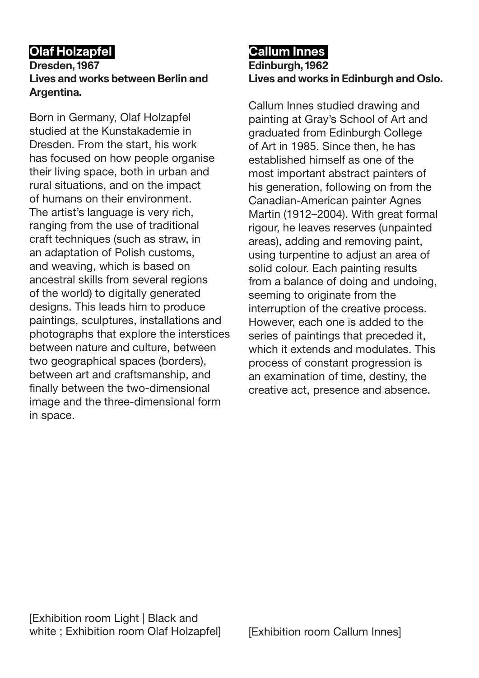# **Olaf Holzapfel**

### **Dresden, 1967 Lives and works between Berlin and Argentina.**

Born in Germany, Olaf Holzapfel studied at the Kunstakademie in Dresden. From the start, his work has focused on how people organise their living space, both in urban and rural situations, and on the impact of humans on their environment. The artist's language is very rich, ranging from the use of traditional craft techniques (such as straw, in an adaptation of Polish customs, and weaving, which is based on ancestral skills from several regions of the world) to digitally generated designs. This leads him to produce paintings, sculptures, installations and photographs that explore the interstices between nature and culture, between two geographical spaces (borders), between art and craftsmanship, and finally between the two-dimensional image and the three-dimensional form in space.

# **Callum Innes Edinburgh, 1962 Lives and works in Edinburgh and Oslo.**

Callum Innes studied drawing and painting at Gray's School of Art and graduated from Edinburgh College of Art in 1985. Since then, he has established himself as one of the most important abstract painters of his generation, following on from the Canadian-American painter Agnes Martin (1912–2004). With great formal rigour, he leaves reserves (unpainted areas), adding and removing paint, using turpentine to adjust an area of solid colour. Each painting results from a balance of doing and undoing, seeming to originate from the interruption of the creative process. However, each one is added to the series of paintings that preceded it, which it extends and modulates. This process of constant progression is an examination of time, destiny, the creative act, presence and absence.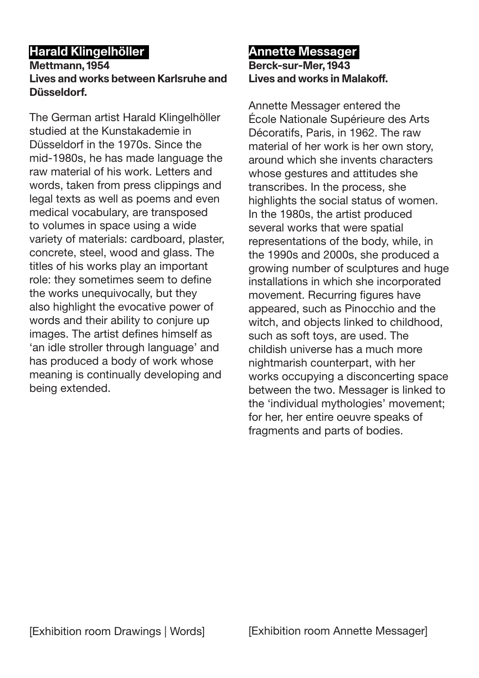# **Harald Klingelhöller**

### **Mettmann, 1954 Lives and works between Karlsruhe and Düsseldorf.**

The German artist Harald Klingelhöller studied at the Kunstakademie in Düsseldorf in the 1970s. Since the mid-1980s, he has made language the raw material of his work. Letters and words, taken from press clippings and legal texts as well as poems and even medical vocabulary, are transposed to volumes in space using a wide variety of materials: cardboard, plaster, concrete, steel, wood and glass. The titles of his works play an important role: they sometimes seem to define the works unequivocally, but they also highlight the evocative power of words and their ability to conjure up images. The artist defines himself as 'an idle stroller through language' and has produced a body of work whose meaning is continually developing and being extended.

#### **Annette Messager Berck-sur-Mer, 1943 Lives and works in Malakoff.**

Annette Messager entered the École Nationale Supérieure des Arts Décoratifs, Paris, in 1962. The raw material of her work is her own story, around which she invents characters whose gestures and attitudes she transcribes. In the process, she highlights the social status of women. In the 1980s, the artist produced several works that were spatial representations of the body, while, in the 1990s and 2000s, she produced a growing number of sculptures and huge installations in which she incorporated movement. Recurring figures have appeared, such as Pinocchio and the witch, and objects linked to childhood, such as soft toys, are used. The childish universe has a much more nightmarish counterpart, with her works occupying a disconcerting space between the two. Messager is linked to the 'individual mythologies' movement; for her, her entire oeuvre speaks of fragments and parts of bodies.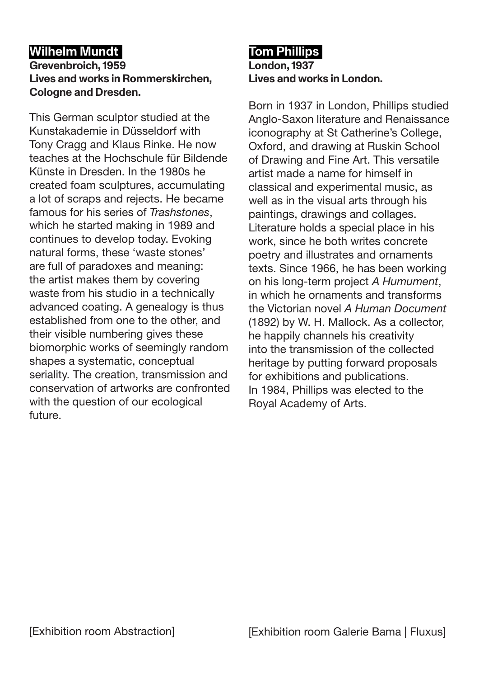# **Wilhelm Mundt**

### **Grevenbroich, 1959 Lives and works in Rommerskirchen, Cologne and Dresden.**

This German sculptor studied at the Kunstakademie in Düsseldorf with Tony Cragg and Klaus Rinke. He now teaches at the Hochschule für Bildende Künste in Dresden. In the 1980s he created foam sculptures, accumulating a lot of scraps and rejects. He became famous for his series of *Trashstones*, which he started making in 1989 and continues to develop today. Evoking natural forms, these 'waste stones' are full of paradoxes and meaning: the artist makes them by covering waste from his studio in a technically advanced coating. A genealogy is thus established from one to the other, and their visible numbering gives these biomorphic works of seemingly random shapes a systematic, conceptual seriality. The creation, transmission and conservation of artworks are confronted with the question of our ecological future.

# **Tom Phillips London, 1937 Lives and works in London.**

Born in 1937 in London, Phillips studied Anglo-Saxon literature and Renaissance iconography at St Catherine's College, Oxford, and drawing at Ruskin School of Drawing and Fine Art. This versatile artist made a name for himself in classical and experimental music, as well as in the visual arts through his paintings, drawings and collages. Literature holds a special place in his work, since he both writes concrete poetry and illustrates and ornaments texts. Since 1966, he has been working on his long-term project *A Humument*, in which he ornaments and transforms the Victorian novel *A Human Document* (1892) by W. H. Mallock. As a collector, he happily channels his creativity into the transmission of the collected heritage by putting forward proposals for exhibitions and publications. In 1984, Phillips was elected to the Royal Academy of Arts.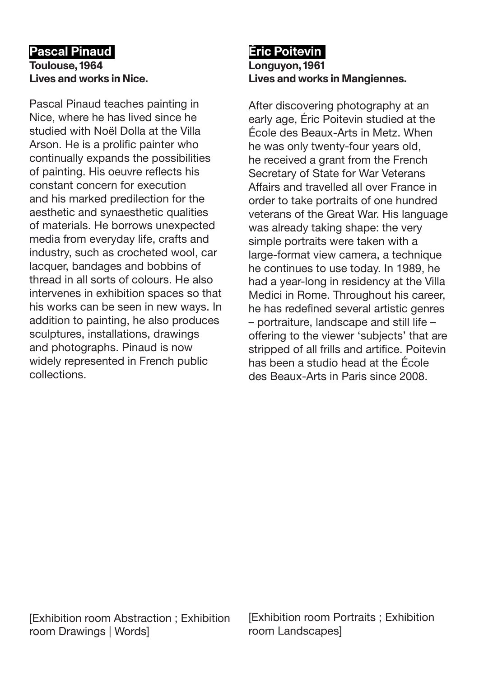### **Pascal Pinaud Toulouse, 1964 Lives and works in Nice.**

Pascal Pinaud teaches painting in Nice, where he has lived since he studied with Noël Dolla at the Villa Arson. He is a prolific painter who continually expands the possibilities of painting. His oeuvre reflects his constant concern for execution and his marked predilection for the aesthetic and synaesthetic qualities of materials. He borrows unexpected media from everyday life, crafts and industry, such as crocheted wool, car lacquer, bandages and bobbins of thread in all sorts of colours. He also intervenes in exhibition spaces so that his works can be seen in new ways. In addition to painting, he also produces sculptures, installations, drawings and photographs. Pinaud is now widely represented in French public collections.

# **Éric Poitevin Longuyon, 1961 Lives and works in Mangiennes.**

After discovering photography at an early age, Éric Poitevin studied at the École des Beaux-Arts in Metz. When he was only twenty-four years old, he received a grant from the French Secretary of State for War Veterans Affairs and travelled all over France in order to take portraits of one hundred veterans of the Great War. His language was already taking shape: the very simple portraits were taken with a large-format view camera, a technique he continues to use today. In 1989, he had a year-long in residency at the Villa Medici in Rome. Throughout his career, he has redefined several artistic genres – portraiture, landscape and still life – offering to the viewer 'subjects' that are stripped of all frills and artifice. Poitevin has been a studio head at the École des Beaux-Arts in Paris since 2008.

[Exhibition room Abstraction ; Exhibition room Drawings | Words]

[Exhibition room Portraits ; Exhibition room Landscapes]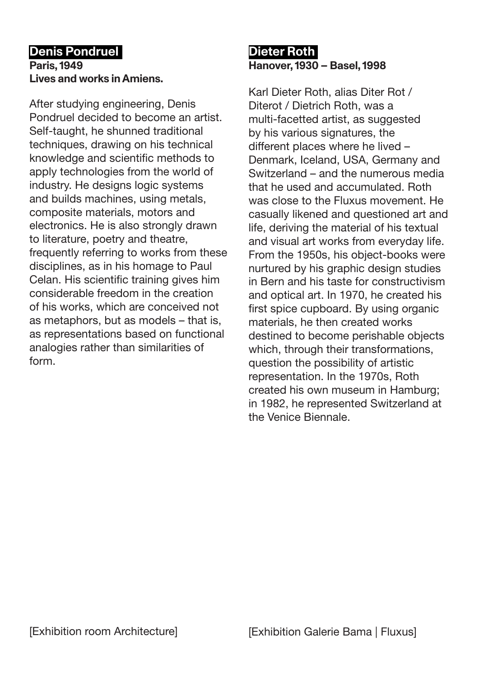## **Denis Pondruel Paris, 1949 Lives and works in Amiens.**

After studying engineering, Denis Pondruel decided to become an artist. Self-taught, he shunned traditional techniques, drawing on his technical knowledge and scientific methods to apply technologies from the world of industry. He designs logic systems and builds machines, using metals, composite materials, motors and electronics. He is also strongly drawn to literature, poetry and theatre, frequently referring to works from these disciplines, as in his homage to Paul Celan. His scientific training gives him considerable freedom in the creation of his works, which are conceived not as metaphors, but as models – that is, as representations based on functional analogies rather than similarities of form.

# **Dieter Roth Hanover, 1930 – Basel, 1998**

Karl Dieter Roth, alias Diter Rot / Diterot / Dietrich Roth, was a multi-facetted artist, as suggested by his various signatures, the different places where he lived – Denmark, Iceland, USA, Germany and Switzerland – and the numerous media that he used and accumulated. Roth was close to the Fluxus movement. He casually likened and questioned art and life, deriving the material of his textual and visual art works from everyday life. From the 1950s, his object-books were nurtured by his graphic design studies in Bern and his taste for constructivism and optical art. In 1970, he created his first spice cupboard. By using organic materials, he then created works destined to become perishable objects which, through their transformations, question the possibility of artistic representation. In the 1970s, Roth created his own museum in Hamburg; in 1982, he represented Switzerland at the Venice Biennale.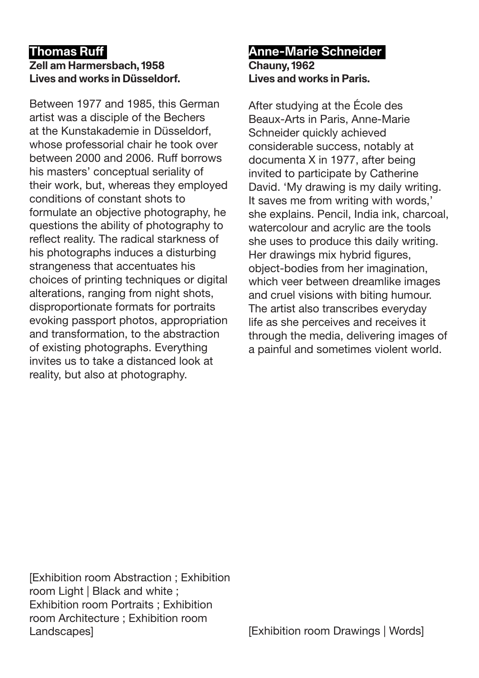# **Thomas Ruff**

### **Zell am Harmersbach, 1958 Lives and works in Düsseldorf.**

Between 1977 and 1985, this German artist was a disciple of the Bechers at the Kunstakademie in Düsseldorf, whose professorial chair he took over between 2000 and 2006. Ruff borrows his masters' conceptual seriality of their work, but, whereas they employed conditions of constant shots to formulate an objective photography, he questions the ability of photography to reflect reality. The radical starkness of his photographs induces a disturbing strangeness that accentuates his choices of printing techniques or digital alterations, ranging from night shots, disproportionate formats for portraits evoking passport photos, appropriation and transformation, to the abstraction of existing photographs. Everything invites us to take a distanced look at reality, but also at photography.

### **Anne-Marie Schneider Chauny, 1962 Lives and works in Paris.**

After studying at the École des Beaux-Arts in Paris, Anne-Marie Schneider quickly achieved considerable success, notably at documenta X in 1977, after being invited to participate by Catherine David. 'My drawing is my daily writing. It saves me from writing with words,' she explains. Pencil, India ink, charcoal, watercolour and acrylic are the tools she uses to produce this daily writing. Her drawings mix hybrid figures, object-bodies from her imagination, which veer between dreamlike images and cruel visions with biting humour. The artist also transcribes everyday life as she perceives and receives it through the media, delivering images of a painful and sometimes violent world.

[Exhibition room Abstraction ; Exhibition room Light | Black and white ; Exhibition room Portraits ; Exhibition room Architecture ; Exhibition room Landscapes]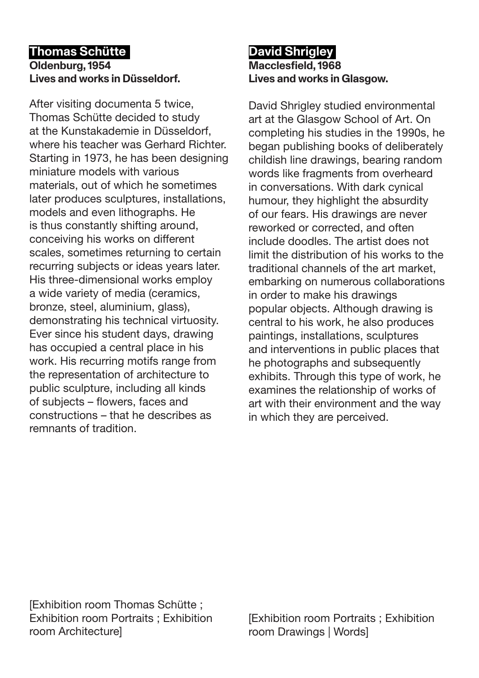### **Thomas Schütte Oldenburg, 1954 Lives and works in Düsseldorf.**

After visiting documenta 5 twice, Thomas Schütte decided to study at the Kunstakademie in Düsseldorf, where his teacher was Gerhard Richter. Starting in 1973, he has been designing miniature models with various materials, out of which he sometimes later produces sculptures, installations, models and even lithographs. He is thus constantly shifting around, conceiving his works on different scales, sometimes returning to certain recurring subjects or ideas years later. His three-dimensional works employ a wide variety of media (ceramics, bronze, steel, aluminium, glass), demonstrating his technical virtuosity. Ever since his student days, drawing has occupied a central place in his work. His recurring motifs range from the representation of architecture to public sculpture, including all kinds of subjects – flowers, faces and constructions – that he describes as remnants of tradition.

# **David Shrigley Macclesfield, 1968 Lives and works in Glasgow.**

David Shrigley studied environmental art at the Glasgow School of Art. On completing his studies in the 1990s, he began publishing books of deliberately childish line drawings, bearing random words like fragments from overheard in conversations. With dark cynical humour, they highlight the absurdity of our fears. His drawings are never reworked or corrected, and often include doodles. The artist does not limit the distribution of his works to the traditional channels of the art market, embarking on numerous collaborations in order to make his drawings popular objects. Although drawing is central to his work, he also produces paintings, installations, sculptures and interventions in public places that he photographs and subsequently exhibits. Through this type of work, he examines the relationship of works of art with their environment and the way in which they are perceived.

[Exhibition room Thomas Schütte ; Exhibition room Portraits ; Exhibition room Architecture]

[Exhibition room Portraits ; Exhibition room Drawings | Words]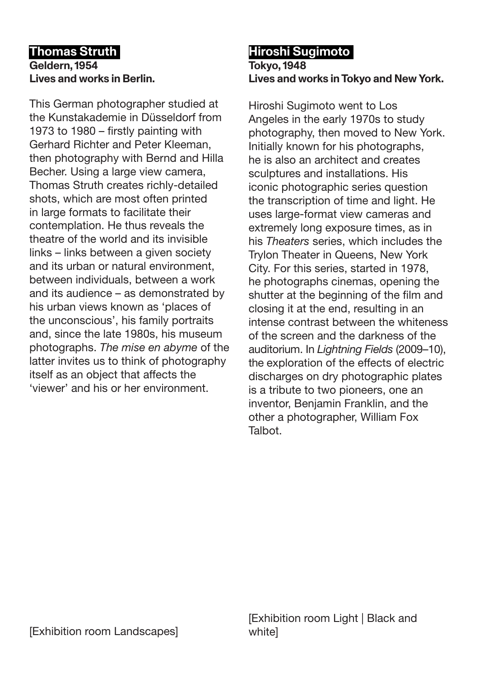### **Thomas Struth Geldern, 1954 Lives and works in Berlin.**

This German photographer studied at the Kunstakademie in Düsseldorf from 1973 to 1980 – firstly painting with Gerhard Richter and Peter Kleeman, then photography with Bernd and Hilla Becher. Using a large view camera, Thomas Struth creates richly-detailed shots, which are most often printed in large formats to facilitate their contemplation. He thus reveals the theatre of the world and its invisible links – links between a given society and its urban or natural environment, between individuals, between a work and its audience – as demonstrated by his urban views known as 'places of the unconscious', his family portraits and, since the late 1980s, his museum photographs. *The mise en abyme* of the latter invites us to think of photography itself as an object that affects the 'viewer' and his or her environment.

#### **Hiroshi Sugimoto Tokyo, 1948 Lives and works in Tokyo and New York.**

Hiroshi Sugimoto went to Los Angeles in the early 1970s to study photography, then moved to New York. Initially known for his photographs, he is also an architect and creates sculptures and installations. His iconic photographic series question the transcription of time and light. He uses large-format view cameras and extremely long exposure times, as in his *Theaters* series, which includes the Trylon Theater in Queens, New York City. For this series, started in 1978, he photographs cinemas, opening the shutter at the beginning of the film and closing it at the end, resulting in an intense contrast between the whiteness of the screen and the darkness of the auditorium. In *Lightning Fields* (2009–10), the exploration of the effects of electric discharges on dry photographic plates is a tribute to two pioneers, one an inventor, Benjamin Franklin, and the other a photographer, William Fox Talbot.

[Exhibition room Light | Black and whitel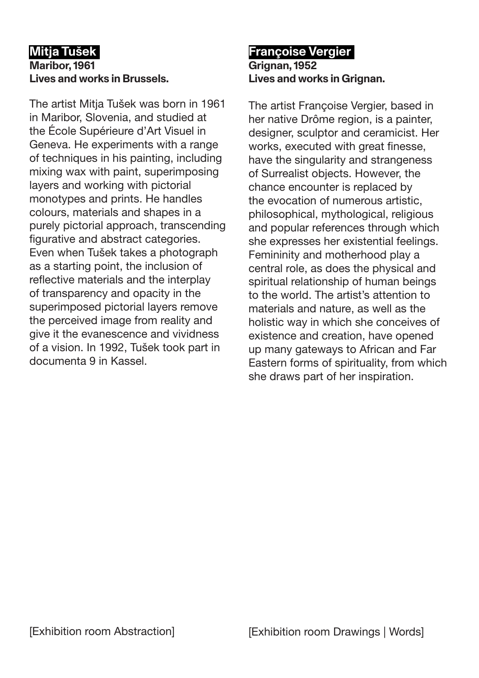# **Mitja Tušek Maribor, 1961 Lives and works in Brussels.**

The artist Mitja Tušek was born in 1961 in Maribor, Slovenia, and studied at the École Supérieure d'Art Visuel in Geneva. He experiments with a range of techniques in his painting, including mixing wax with paint, superimposing layers and working with pictorial monotypes and prints. He handles colours, materials and shapes in a purely pictorial approach, transcending figurative and abstract categories. Even when Tušek takes a photograph as a starting point, the inclusion of reflective materials and the interplay of transparency and opacity in the superimposed pictorial layers remove the perceived image from reality and give it the evanescence and vividness of a vision. In 1992, Tušek took part in documenta 9 in Kassel.

## **Françoise Vergier Grignan, 1952 Lives and works in Grignan.**

The artist Françoise Vergier, based in her native Drôme region, is a painter, designer, sculptor and ceramicist. Her works, executed with great finesse, have the singularity and strangeness of Surrealist objects. However, the chance encounter is replaced by the evocation of numerous artistic, philosophical, mythological, religious and popular references through which she expresses her existential feelings. Femininity and motherhood play a central role, as does the physical and spiritual relationship of human beings to the world. The artist's attention to materials and nature, as well as the holistic way in which she conceives of existence and creation, have opened up many gateways to African and Far Eastern forms of spirituality, from which she draws part of her inspiration.